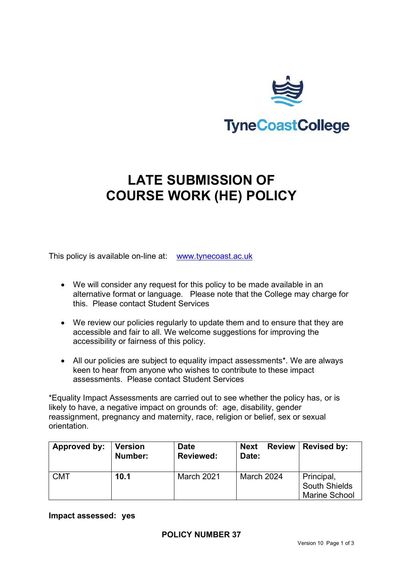

# **LATE SUBMISSION OF COURSE WORK (HE) POLICY**

This policy is available on-line at: [www.tynecoast.ac.uk](http://www.tynecoast.ac.uk/)

- We will consider any request for this policy to be made available in an alternative format or language. Please note that the College may charge for this. Please contact Student Services
- We review our policies regularly to update them and to ensure that they are accessible and fair to all. We welcome suggestions for improving the accessibility or fairness of this policy.
- All our policies are subject to equality impact assessments\*. We are always keen to hear from anyone who wishes to contribute to these impact assessments. Please contact Student Services

\*Equality Impact Assessments are carried out to see whether the policy has, or is likely to have, a negative impact on grounds of: age, disability, gender reassignment, pregnancy and maternity, race, religion or belief, sex or sexual orientation.

| Approved by: | <b>Version</b><br>Number: | <b>Date</b><br><b>Reviewed:</b> | <b>Review</b><br><b>Next</b><br>Date: | <b>Revised by:</b>                                         |
|--------------|---------------------------|---------------------------------|---------------------------------------|------------------------------------------------------------|
| <b>CMT</b>   | 10.1                      | March 2021                      | March 2024                            | Principal,<br><b>South Shields</b><br><b>Marine School</b> |

**Impact assessed: yes**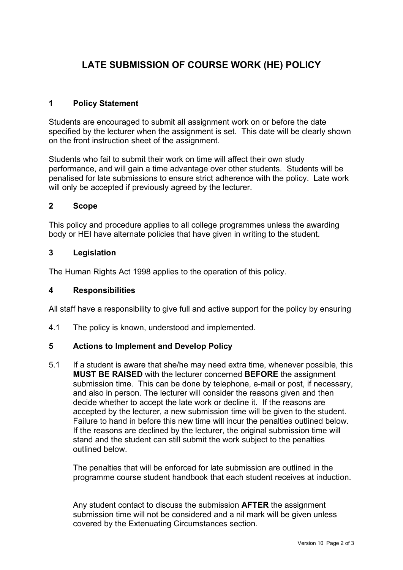# **LATE SUBMISSION OF COURSE WORK (HE) POLICY**

# **1 Policy Statement**

Students are encouraged to submit all assignment work on or before the date specified by the lecturer when the assignment is set. This date will be clearly shown on the front instruction sheet of the assignment.

Students who fail to submit their work on time will affect their own study performance, and will gain a time advantage over other students. Students will be penalised for late submissions to ensure strict adherence with the policy. Late work will only be accepted if previously agreed by the lecturer.

# **2 Scope**

This policy and procedure applies to all college programmes unless the awarding body or HEI have alternate policies that have given in writing to the student.

## **3 Legislation**

The Human Rights Act 1998 applies to the operation of this policy.

#### **4 Responsibilities**

All staff have a responsibility to give full and active support for the policy by ensuring

4.1 The policy is known, understood and implemented.

# **5 Actions to Implement and Develop Policy**

5.1 If a student is aware that she/he may need extra time, whenever possible, this **MUST BE RAISED** with the lecturer concerned **BEFORE** the assignment submission time. This can be done by telephone, e-mail or post, if necessary, and also in person. The lecturer will consider the reasons given and then decide whether to accept the late work or decline it. If the reasons are accepted by the lecturer, a new submission time will be given to the student. Failure to hand in before this new time will incur the penalties outlined below. If the reasons are declined by the lecturer, the original submission time will stand and the student can still submit the work subject to the penalties outlined below.

The penalties that will be enforced for late submission are outlined in the programme course student handbook that each student receives at induction.

Any student contact to discuss the submission **AFTER** the assignment submission time will not be considered and a nil mark will be given unless covered by the Extenuating Circumstances section.